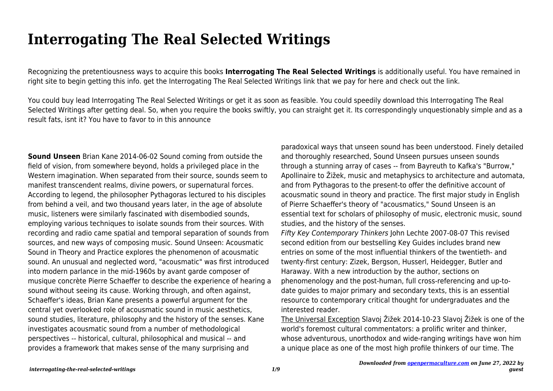## **Interrogating The Real Selected Writings**

Recognizing the pretentiousness ways to acquire this books **Interrogating The Real Selected Writings** is additionally useful. You have remained in right site to begin getting this info. get the Interrogating The Real Selected Writings link that we pay for here and check out the link.

You could buy lead Interrogating The Real Selected Writings or get it as soon as feasible. You could speedily download this Interrogating The Real Selected Writings after getting deal. So, when you require the books swiftly, you can straight get it. Its correspondingly unquestionably simple and as a result fats, isnt it? You have to favor to in this announce

**Sound Unseen** Brian Kane 2014-06-02 Sound coming from outside the field of vision, from somewhere beyond, holds a privileged place in the Western imagination. When separated from their source, sounds seem to manifest transcendent realms, divine powers, or supernatural forces. According to legend, the philosopher Pythagoras lectured to his disciples from behind a veil, and two thousand years later, in the age of absolute music, listeners were similarly fascinated with disembodied sounds, employing various techniques to isolate sounds from their sources. With recording and radio came spatial and temporal separation of sounds from sources, and new ways of composing music. Sound Unseen: Acousmatic Sound in Theory and Practice explores the phenomenon of acousmatic sound. An unusual and neglected word, "acousmatic" was first introduced into modern parlance in the mid-1960s by avant garde composer of musique concrète Pierre Schaeffer to describe the experience of hearing a sound without seeing its cause. Working through, and often against, Schaeffer's ideas, Brian Kane presents a powerful argument for the central yet overlooked role of acousmatic sound in music aesthetics, sound studies, literature, philosophy and the history of the senses. Kane investigates acousmatic sound from a number of methodological perspectives -- historical, cultural, philosophical and musical -- and provides a framework that makes sense of the many surprising and

paradoxical ways that unseen sound has been understood. Finely detailed and thoroughly researched, Sound Unseen pursues unseen sounds through a stunning array of cases -- from Bayreuth to Kafka's "Burrow," Apollinaire to Žižek, music and metaphysics to architecture and automata, and from Pythagoras to the present-to offer the definitive account of acousmatic sound in theory and practice. The first major study in English of Pierre Schaeffer's theory of "acousmatics," Sound Unseen is an essential text for scholars of philosophy of music, electronic music, sound studies, and the history of the senses.

Fifty Key Contemporary Thinkers John Lechte 2007-08-07 This revised second edition from our bestselling Key Guides includes brand new entries on some of the most influential thinkers of the twentieth- and twenty-first century: Zizek, Bergson, Husserl, Heidegger, Butler and Haraway. With a new introduction by the author, sections on phenomenology and the post-human, full cross-referencing and up-todate guides to major primary and secondary texts, this is an essential resource to contemporary critical thought for undergraduates and the interested reader.

The Universal Exception Slavoj Žižek 2014-10-23 Slavoj Žižek is one of the world's foremost cultural commentators: a prolific writer and thinker, whose adventurous, unorthodox and wide-ranging writings have won him a unique place as one of the most high profile thinkers of our time. The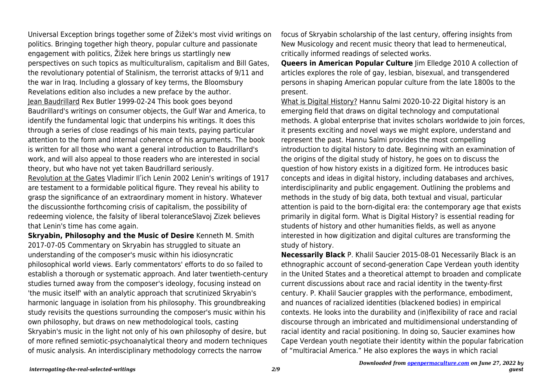Universal Exception brings together some of Žižek's most vivid writings on politics. Bringing together high theory, popular culture and passionate engagement with politics, Žižek here brings us startlingly new perspectives on such topics as multiculturalism, capitalism and Bill Gates, the revolutionary potential of Stalinism, the terrorist attacks of 9/11 and the war in Iraq. Including a glossary of key terms, the Bloomsbury Revelations edition also includes a new preface by the author. Jean Baudrillard Rex Butler 1999-02-24 This book goes beyond Baudrillard's writings on consumer objects, the Gulf War and America, to identify the fundamental logic that underpins his writings. It does this through a series of close readings of his main texts, paying particular attention to the form and internal coherence of his arguments. The book is written for all those who want a general introduction to Baudrillard's work, and will also appeal to those readers who are interested in social theory, but who have not yet taken Baudrillard seriously. Revolution at the Gates Vladimir Ilʹich Lenin 2002 Lenin's writings of 1917 are testament to a formidable political figure. They reveal his ability to grasp the significance of an extraordinary moment in history. Whatever the discussionthe forthcoming crisis of capitalism, the possibility of redeeming violence, the falsity of liberal toleranceSlavoj Zizek believes that Lenin's time has come again.

**Skryabin, Philosophy and the Music of Desire** Kenneth M. Smith 2017-07-05 Commentary on Skryabin has struggled to situate an understanding of the composer's music within his idiosyncratic philosophical world views. Early commentators' efforts to do so failed to establish a thorough or systematic approach. And later twentieth-century studies turned away from the composer's ideology, focusing instead on 'the music itself' with an analytic approach that scrutinized Skryabin's harmonic language in isolation from his philosophy. This groundbreaking study revisits the questions surrounding the composer's music within his own philosophy, but draws on new methodological tools, casting Skryabin's music in the light not only of his own philosophy of desire, but of more refined semiotic-psychoanalytical theory and modern techniques of music analysis. An interdisciplinary methodology corrects the narrow

focus of Skryabin scholarship of the last century, offering insights from New Musicology and recent music theory that lead to hermeneutical, critically informed readings of selected works.

**Queers in American Popular Culture** Jim Elledge 2010 A collection of articles explores the role of gay, lesbian, bisexual, and transgendered persons in shaping American popular culture from the late 1800s to the present.

What is Digital History? Hannu Salmi 2020-10-22 Digital history is an emerging field that draws on digital technology and computational methods. A global enterprise that invites scholars worldwide to join forces, it presents exciting and novel ways we might explore, understand and represent the past. Hannu Salmi provides the most compelling introduction to digital history to date. Beginning with an examination of the origins of the digital study of history, he goes on to discuss the question of how history exists in a digitized form. He introduces basic concepts and ideas in digital history, including databases and archives, interdisciplinarity and public engagement. Outlining the problems and methods in the study of big data, both textual and visual, particular attention is paid to the born-digital era: the contemporary age that exists primarily in digital form. What is Digital History? is essential reading for students of history and other humanities fields, as well as anyone interested in how digitization and digital cultures are transforming the study of history.

**Necessarily Black** P. Khalil Saucier 2015-08-01 Necessarily Black is an ethnographic account of second-generation Cape Verdean youth identity in the United States and a theoretical attempt to broaden and complicate current discussions about race and racial identity in the twenty-first century. P. Khalil Saucier grapples with the performance, embodiment, and nuances of racialized identities (blackened bodies) in empirical contexts. He looks into the durability and (in)flexibility of race and racial discourse through an imbricated and multidimensional understanding of racial identity and racial positioning. In doing so, Saucier examines how Cape Verdean youth negotiate their identity within the popular fabrication of "multiracial America." He also explores the ways in which racial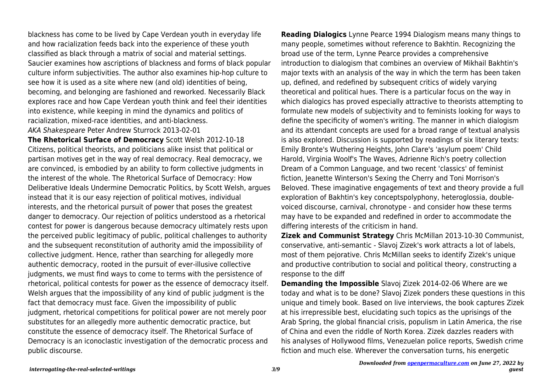blackness has come to be lived by Cape Verdean youth in everyday life and how racialization feeds back into the experience of these youth classified as black through a matrix of social and material settings. Saucier examines how ascriptions of blackness and forms of black popular culture inform subjectivities. The author also examines hip-hop culture to see how it is used as a site where new (and old) identities of being, becoming, and belonging are fashioned and reworked. Necessarily Black explores race and how Cape Verdean youth think and feel their identities into existence, while keeping in mind the dynamics and politics of racialization, mixed-race identities, and anti-blackness. AKA Shakespeare Peter Andrew Sturrock 2013-02-01

**The Rhetorical Surface of Democracy** Scott Welsh 2012-10-18 Citizens, political theorists, and politicians alike insist that political or partisan motives get in the way of real democracy. Real democracy, we are convinced, is embodied by an ability to form collective judgments in the interest of the whole. The Rhetorical Surface of Democracy: How Deliberative Ideals Undermine Democratic Politics, by Scott Welsh, argues instead that it is our easy rejection of political motives, individual interests, and the rhetorical pursuit of power that poses the greatest danger to democracy. Our rejection of politics understood as a rhetorical contest for power is dangerous because democracy ultimately rests upon the perceived public legitimacy of public, political challenges to authority and the subsequent reconstitution of authority amid the impossibility of collective judgment. Hence, rather than searching for allegedly more authentic democracy, rooted in the pursuit of ever-illusive collective judgments, we must find ways to come to terms with the persistence of rhetorical, political contests for power as the essence of democracy itself. Welsh argues that the impossibility of any kind of public judgment is the fact that democracy must face. Given the impossibility of public judgment, rhetorical competitions for political power are not merely poor substitutes for an allegedly more authentic democratic practice, but constitute the essence of democracy itself. The Rhetorical Surface of Democracy is an iconoclastic investigation of the democratic process and public discourse.

**Reading Dialogics** Lynne Pearce 1994 Dialogism means many things to many people, sometimes without reference to Bakhtin. Recognizing the broad use of the term, Lynne Pearce provides a comprehensive introduction to dialogism that combines an overview of Mikhail Bakhtin's major texts with an analysis of the way in which the term has been taken up, defined, and redefined by subsequent critics of widely varying theoretical and political hues. There is a particular focus on the way in which dialogics has proved especially attractive to theorists attempting to formulate new models of subjectivity and to feminists looking for ways to define the specificity of women's writing. The manner in which dialogism and its attendant concepts are used for a broad range of textual analysis is also explored. Discussion is supported by readings of six literary texts: Emily Bronte's Wuthering Heights, John Clare's 'asylum poem' Child Harold, Virginia Woolf's The Waves, Adrienne Rich's poetry collection Dream of a Common Language, and two recent 'classics' of feminist fiction, Jeanette Winterson's Sexing the Cherry and Toni Morrison's Beloved. These imaginative engagements of text and theory provide a full exploration of Bakhtin's key conceptspolyphony, heteroglossia, doublevoiced discourse, carnival, chronotype - and consider how these terms may have to be expanded and redefined in order to accommodate the differing interests of the criticism in hand.

**Zizek and Communist Strategy** Chris McMillan 2013-10-30 Communist, conservative, anti-semantic - Slavoj Zizek's work attracts a lot of labels, most of them pejorative. Chris McMillan seeks to identify Zizek's unique and productive contribution to social and political theory, constructing a response to the diff

**Demanding the Impossible** Slavoj Zizek 2014-02-06 Where are we today and what is to be done? Slavoj Zizek ponders these questions in this unique and timely book. Based on live interviews, the book captures Zizek at his irrepressible best, elucidating such topics as the uprisings of the Arab Spring, the global financial crisis, populism in Latin America, the rise of China and even the riddle of North Korea. Zizek dazzles readers with his analyses of Hollywood films, Venezuelan police reports, Swedish crime fiction and much else. Wherever the conversation turns, his energetic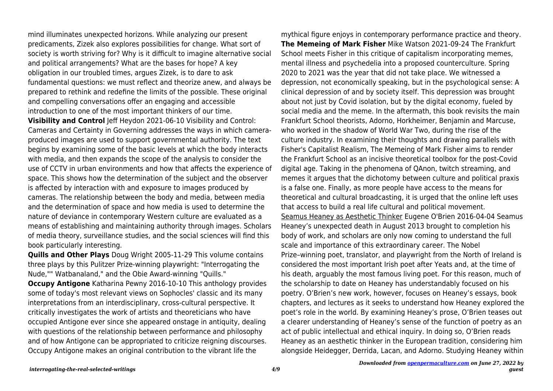mind illuminates unexpected horizons. While analyzing our present predicaments, Zizek also explores possibilities for change. What sort of society is worth striving for? Why is it difficult to imagine alternative social and political arrangements? What are the bases for hope? A key obligation in our troubled times, argues Zizek, is to dare to ask fundamental questions: we must reflect and theorize anew, and always be prepared to rethink and redefine the limits of the possible. These original and compelling conversations offer an engaging and accessible introduction to one of the most important thinkers of our time. **Visibility and Control** Jeff Heydon 2021-06-10 Visibility and Control: Cameras and Certainty in Governing addresses the ways in which cameraproduced images are used to support governmental authority. The text begins by examining some of the basic levels at which the body interacts with media, and then expands the scope of the analysis to consider the use of CCTV in urban environments and how that affects the experience of space. This shows how the determination of the subject and the observer is affected by interaction with and exposure to images produced by cameras. The relationship between the body and media, between media and the determination of space and how media is used to determine the nature of deviance in contemporary Western culture are evaluated as a means of establishing and maintaining authority through images. Scholars of media theory, surveillance studies, and the social sciences will find this book particularly interesting.

**Quills and Other Plays** Doug Wright 2005-11-29 This volume contains three plays by this Pulitzer Prize-winning playwright: "Interrogating the Nude,"" Watbanaland," and the Obie Award-winning "Quills." **Occupy Antigone** Katharina Pewny 2016-10-10 This anthology provides some of today's most relevant views on Sophocles' classic and its many interpretations from an interdisciplinary, cross-cultural perspective. It critically investigates the work of artists and theoreticians who have occupied Antigone ever since she appeared onstage in antiquity, dealing with questions of the relationship between performance and philosophy and of how Antigone can be appropriated to criticize reigning discourses. Occupy Antigone makes an original contribution to the vibrant life the

mythical figure enjoys in contemporary performance practice and theory. **The Memeing of Mark Fisher** Mike Watson 2021-09-24 The Frankfurt School meets Fisher in this critique of capitalism incorporating memes, mental illness and psychedelia into a proposed counterculture. Spring 2020 to 2021 was the year that did not take place. We witnessed a depression, not economically speaking, but in the psychological sense: A clinical depression of and by society itself. This depression was brought about not just by Covid isolation, but by the digital economy, fueled by social media and the meme. In the aftermath, this book revisits the main Frankfurt School theorists, Adorno, Horkheimer, Benjamin and Marcuse, who worked in the shadow of World War Two, during the rise of the culture industry. In examining their thoughts and drawing parallels with Fisher's Capitalist Realism, The Memeing of Mark Fisher aims to render the Frankfurt School as an incisive theoretical toolbox for the post-Covid digital age. Taking in the phenomena of QAnon, twitch streaming, and memes it argues that the dichotomy between culture and political praxis is a false one. Finally, as more people have access to the means for theoretical and cultural broadcasting, it is urged that the online left uses that access to build a real life cultural and political movement. Seamus Heaney as Aesthetic Thinker Eugene O'Brien 2016-04-04 Seamus Heaney's unexpected death in August 2013 brought to completion his body of work, and scholars are only now coming to understand the full scale and importance of this extraordinary career. The Nobel Prize–winning poet, translator, and playwright from the North of Ireland is considered the most important Irish poet after Yeats and, at the time of his death, arguably the most famous living poet. For this reason, much of the scholarship to date on Heaney has understandably focused on his poetry. O'Brien's new work, however, focuses on Heaney's essays, book chapters, and lectures as it seeks to understand how Heaney explored the poet's role in the world. By examining Heaney's prose, O'Brien teases out a clearer understanding of Heaney's sense of the function of poetry as an act of public intellectual and ethical inquiry. In doing so, O'Brien reads Heaney as an aesthetic thinker in the European tradition, considering him alongside Heidegger, Derrida, Lacan, and Adorno. Studying Heaney within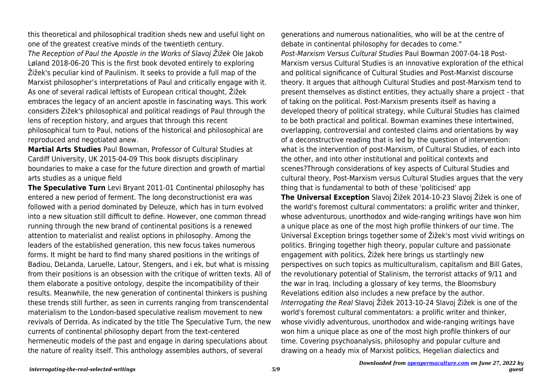this theoretical and philosophical tradition sheds new and useful light on one of the greatest creative minds of the twentieth century. The Reception of Paul the Apostle in the Works of Slavoj Žižek Ole Jakob Løland 2018-06-20 This is the first book devoted entirely to exploring Žižek's peculiar kind of Paulinism. It seeks to provide a full map of the Marxist philosopher's interpretations of Paul and critically engage with it. As one of several radical leftists of European critical thought, Žižek embraces the legacy of an ancient apostle in fascinating ways. This work considers Žižek's philosophical and political readings of Paul through the lens of reception history, and argues that through this recent philosophical turn to Paul, notions of the historical and philosophical are reproduced and negotiated anew.

**Martial Arts Studies** Paul Bowman, Professor of Cultural Studies at Cardiff University, UK 2015-04-09 This book disrupts disciplinary boundaries to make a case for the future direction and growth of martial arts studies as a unique field

**The Speculative Turn** Levi Bryant 2011-01 Continental philosophy has entered a new period of ferment. The long deconstructionist era was followed with a period dominated by Deleuze, which has in turn evolved into a new situation still difficult to define. However, one common thread running through the new brand of continental positions is a renewed attention to materialist and realist options in philosophy. Among the leaders of the established generation, this new focus takes numerous forms. It might be hard to find many shared positions in the writings of Badiou, DeLanda, Laruelle, Latour, Stengers, and i ek, but what is missing from their positions is an obsession with the critique of written texts. All of them elaborate a positive ontology, despite the incompatibility of their results. Meanwhile, the new generation of continental thinkers is pushing these trends still further, as seen in currents ranging from transcendental materialism to the London-based speculative realism movement to new revivals of Derrida. As indicated by the title The Speculative Turn, the new currents of continental philosophy depart from the text-centered hermeneutic models of the past and engage in daring speculations about the nature of reality itself. This anthology assembles authors, of several

generations and numerous nationalities, who will be at the centre of debate in continental philosophy for decades to come." Post-Marxism Versus Cultural Studies Paul Bowman 2007-04-18 Post-Marxism versus Cultural Studies is an innovative exploration of the ethical and political significance of Cultural Studies and Post-Marxist discourse theory. It argues that although Cultural Studies and post-Marxism tend to present themselves as distinct entities, they actually share a project - that of taking on the political. Post-Marxism presents itself as having a developed theory of political strategy, while Cultural Studies has claimed to be both practical and political. Bowman examines these intertwined, overlapping, controversial and contested claims and orientations by way of a deconstructive reading that is led by the question of intervention: what is the intervention of post-Marxism, of Cultural Studies, of each into the other, and into other institutional and political contexts and scenes?Through considerations of key aspects of Cultural Studies and cultural theory, Post-Marxism versus Cultural Studies argues that the very thing that is fundamental to both of these 'politicised' app **The Universal Exception** Slavoj Žižek 2014-10-23 Slavoj Žižek is one of the world's foremost cultural commentators: a prolific writer and thinker,

whose adventurous, unorthodox and wide-ranging writings have won him a unique place as one of the most high profile thinkers of our time. The Universal Exception brings together some of Žižek's most vivid writings on politics. Bringing together high theory, popular culture and passionate engagement with politics, Žižek here brings us startlingly new perspectives on such topics as multiculturalism, capitalism and Bill Gates, the revolutionary potential of Stalinism, the terrorist attacks of 9/11 and the war in Iraq. Including a glossary of key terms, the Bloomsbury Revelations edition also includes a new preface by the author. Interrogating the Real Slavoj Žižek 2013-10-24 Slavoj Žižek is one of the world's foremost cultural commentators: a prolific writer and thinker, whose vividly adventurous, unorthodox and wide-ranging writings have won him a unique place as one of the most high profile thinkers of our time. Covering psychoanalysis, philosophy and popular culture and drawing on a heady mix of Marxist politics, Hegelian dialectics and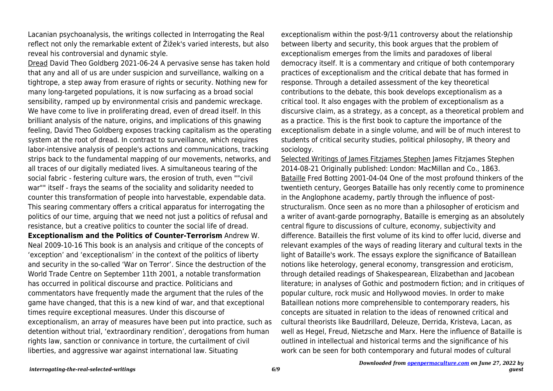Lacanian psychoanalysis, the writings collected in Interrogating the Real reflect not only the remarkable extent of Žižek's varied interests, but also reveal his controversial and dynamic style.

Dread David Theo Goldberg 2021-06-24 A pervasive sense has taken hold that any and all of us are under suspicion and surveillance, walking on a tightrope, a step away from erasure of rights or security. Nothing new for many long-targeted populations, it is now surfacing as a broad social sensibility, ramped up by environmental crisis and pandemic wreckage. We have come to live in proliferating dread, even of dread itself. In this brilliant analysis of the nature, origins, and implications of this gnawing feeling, David Theo Goldberg exposes tracking capitalism as the operating system at the root of dread. In contrast to surveillance, which requires labor-intensive analysis of people's actions and communications, tracking strips back to the fundamental mapping of our movements, networks, and all traces of our digitally mediated lives. A simultaneous tearing of the social fabric - festering culture wars, the erosion of truth, even ""civil war"" itself - frays the seams of the sociality and solidarity needed to counter this transformation of people into harvestable, expendable data. This searing commentary offers a critical apparatus for interrogating the politics of our time, arguing that we need not just a politics of refusal and resistance, but a creative politics to counter the social life of dread. **Exceptionalism and the Politics of Counter-Terrorism** Andrew W. Neal 2009-10-16 This book is an analysis and critique of the concepts of 'exception' and 'exceptionalism' in the context of the politics of liberty and security in the so-called 'War on Terror'. Since the destruction of the World Trade Centre on September 11th 2001, a notable transformation has occurred in political discourse and practice. Politicians and commentators have frequently made the argument that the rules of the game have changed, that this is a new kind of war, and that exceptional times require exceptional measures. Under this discourse of exceptionalism, an array of measures have been put into practice, such as detention without trial, 'extraordinary rendition', derogations from human rights law, sanction or connivance in torture, the curtailment of civil liberties, and aggressive war against international law. Situating

exceptionalism within the post-9/11 controversy about the relationship between liberty and security, this book argues that the problem of exceptionalism emerges from the limits and paradoxes of liberal democracy itself. It is a commentary and critique of both contemporary practices of exceptionalism and the critical debate that has formed in response. Through a detailed assessment of the key theoretical contributions to the debate, this book develops exceptionalism as a critical tool. It also engages with the problem of exceptionalism as a discursive claim, as a strategy, as a concept, as a theoretical problem and as a practice. This is the first book to capture the importance of the exceptionalism debate in a single volume, and will be of much interest to students of critical security studies, political philosophy, IR theory and sociology.

Selected Writings of James Fitzjames Stephen James Fitzjames Stephen 2014-08-21 Originally published: London: MacMillan and Co., 1863. Bataille Fred Botting 2001-04-04 One of the most profound thinkers of the twentieth century, Georges Bataille has only recently come to prominence in the Anglophone academy, partly through the influence of poststructuralism. Once seen as no more than a philosopher of eroticism and a writer of avant-garde pornography, Bataille is emerging as an absolutely central figure to discussions of culture, economy, subjectivity and difference. Batailleis the first volume of its kind to offer lucid, diverse and relevant examples of the ways of reading literary and cultural texts in the light of Bataille's work. The essays explore the significance of Bataillean notions like heterology, general economy, transgression and eroticism, through detailed readings of Shakespearean, Elizabethan and Jacobean literature; in analyses of Gothic and postmodern fiction; and in critiques of popular culture, rock music and Hollywood movies. In order to make Bataillean notions more comprehensible to contemporary readers, his concepts are situated in relation to the ideas of renowned critical and cultural theorists like Baudrillard, Deleuze, Derrida, Kristeva, Lacan, as well as Hegel, Freud, Nietzsche and Marx. Here the influence of Bataille is outlined in intellectual and historical terms and the significance of his work can be seen for both contemporary and futural modes of cultural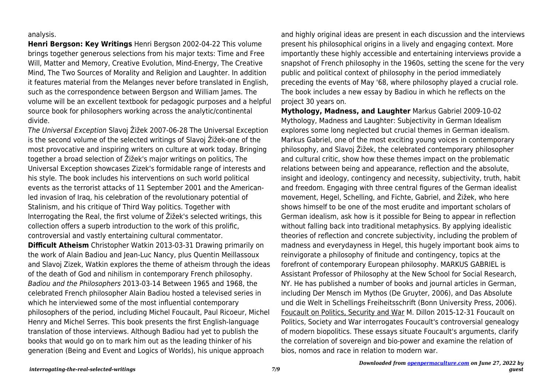## analysis.

**Henri Bergson: Key Writings** Henri Bergson 2002-04-22 This volume brings together generous selections from his major texts: Time and Free Will, Matter and Memory, Creative Evolution, Mind-Energy, The Creative Mind, The Two Sources of Morality and Religion and Laughter. In addition it features material from the Melanges never before translated in English, such as the correspondence between Bergson and William James. The volume will be an excellent textbook for pedagogic purposes and a helpful source book for philosophers working across the analytic/continental divide.

The Universal Exception Slavoj Žižek 2007-06-28 The Universal Exception is the second volume of the selected writings of Slavoj Žižek-one of the most provocative and inspiring writers on culture at work today. Bringing together a broad selection of Žižek's major writings on politics, The Universal Exception showcases Zizek's formidable range of interests and his style. The book includes his interventions on such world political events as the terrorist attacks of 11 September 2001 and the Americanled invasion of Iraq, his celebration of the revolutionary potential of Stalinism, and his critique of Third Way politics. Together with Interrogating the Real, the first volume of Žižek's selected writings, this collection offers a superb introduction to the work of this prolific, controversial and vastly entertaining cultural commentator.

**Difficult Atheism** Christopher Watkin 2013-03-31 Drawing primarily on the work of Alain Badiou and Jean-Luc Nancy, plus Quentin Meillassoux and Slavoj Zizek, Watkin explores the theme of atheism through the ideas of the death of God and nihilism in contemporary French philosophy. Badiou and the Philosophers 2013-03-14 Between 1965 and 1968, the celebrated French philosopher Alain Badiou hosted a televised series in which he interviewed some of the most influential contemporary philosophers of the period, including Michel Foucault, Paul Ricoeur, Michel Henry and Michel Serres. This book presents the first English-language translation of those interviews. Although Badiou had yet to publish the books that would go on to mark him out as the leading thinker of his generation (Being and Event and Logics of Worlds), his unique approach

and highly original ideas are present in each discussion and the interviews present his philosophical origins in a lively and engaging context. More importantly these highly accessible and entertaining interviews provide a snapshot of French philosophy in the 1960s, setting the scene for the very public and political context of philosophy in the period immediately preceding the events of May '68, where philosophy played a crucial role. The book includes a new essay by Badiou in which he reflects on the project 30 years on.

**Mythology, Madness, and Laughter** Markus Gabriel 2009-10-02 Mythology, Madness and Laughter: Subjectivity in German Idealism explores some long neglected but crucial themes in German idealism. Markus Gabriel, one of the most exciting young voices in contemporary philosophy, and Slavoj Žižek, the celebrated contemporary philosopher and cultural critic, show how these themes impact on the problematic relations between being and appearance, reflection and the absolute, insight and ideology, contingency and necessity, subjectivity, truth, habit and freedom. Engaging with three central figures of the German idealist movement, Hegel, Schelling, and Fichte, Gabriel, and Žižek, who here shows himself to be one of the most erudite and important scholars of German idealism, ask how is it possible for Being to appear in reflection without falling back into traditional metaphysics. By applying idealistic theories of reflection and concrete subjectivity, including the problem of madness and everydayness in Hegel, this hugely important book aims to reinvigorate a philosophy of finitude and contingency, topics at the forefront of contemporary European philosophy. MARKUS GABRIEL is Assistant Professor of Philosophy at the New School for Social Research, NY. He has published a number of books and journal articles in German, including Der Mensch im Mythos (De Gruyter, 2006), and Das Absolute und die Welt in Schellings Freiheitsschrift (Bonn University Press, 2006). Foucault on Politics, Security and War M. Dillon 2015-12-31 Foucault on Politics, Society and War interrogates Foucault's controversial genealogy of modern biopolitics. These essays situate Foucault's arguments, clarify the correlation of sovereign and bio-power and examine the relation of bios, nomos and race in relation to modern war.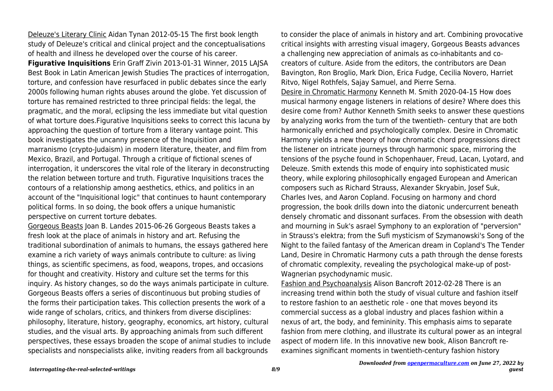Deleuze's Literary Clinic Aidan Tynan 2012-05-15 The first book length study of Deleuze's critical and clinical project and the conceptualisations of health and illness he developed over the course of his career.

**Figurative Inquisitions** Erin Graff Zivin 2013-01-31 Winner, 2015 LAJSA Best Book in Latin American Jewish Studies The practices of interrogation, torture, and confession have resurfaced in public debates since the early 2000s following human rights abuses around the globe. Yet discussion of torture has remained restricted to three principal fields: the legal, the pragmatic, and the moral, eclipsing the less immediate but vital question of what torture does.Figurative Inquisitions seeks to correct this lacuna by approaching the question of torture from a literary vantage point. This book investigates the uncanny presence of the Inquisition and marranismo (crypto-Judaism) in modern literature, theater, and film from Mexico, Brazil, and Portugal. Through a critique of fictional scenes of interrogation, it underscores the vital role of the literary in deconstructing the relation between torture and truth. Figurative Inquisitions traces the contours of a relationship among aesthetics, ethics, and politics in an account of the "Inquisitional logic" that continues to haunt contemporary political forms. In so doing, the book offers a unique humanistic perspective on current torture debates.

Gorgeous Beasts Joan B. Landes 2015-06-26 Gorgeous Beasts takes a fresh look at the place of animals in history and art. Refusing the traditional subordination of animals to humans, the essays gathered here examine a rich variety of ways animals contribute to culture: as living things, as scientific specimens, as food, weapons, tropes, and occasions for thought and creativity. History and culture set the terms for this inquiry. As history changes, so do the ways animals participate in culture. Gorgeous Beasts offers a series of discontinuous but probing studies of the forms their participation takes. This collection presents the work of a wide range of scholars, critics, and thinkers from diverse disciplines: philosophy, literature, history, geography, economics, art history, cultural studies, and the visual arts. By approaching animals from such different perspectives, these essays broaden the scope of animal studies to include specialists and nonspecialists alike, inviting readers from all backgrounds

to consider the place of animals in history and art. Combining provocative critical insights with arresting visual imagery, Gorgeous Beasts advances a challenging new appreciation of animals as co-inhabitants and cocreators of culture. Aside from the editors, the contributors are Dean Bavington, Ron Broglio, Mark Dion, Erica Fudge, Cecilia Novero, Harriet Ritvo, Nigel Rothfels, Sajay Samuel, and Pierre Serna.

Desire in Chromatic Harmony Kenneth M. Smith 2020-04-15 How does musical harmony engage listeners in relations of desire? Where does this desire come from? Author Kenneth Smith seeks to answer these questions by analyzing works from the turn of the twentieth- century that are both harmonically enriched and psychologically complex. Desire in Chromatic Harmony yields a new theory of how chromatic chord progressions direct the listener on intricate journeys through harmonic space, mirroring the tensions of the psyche found in Schopenhauer, Freud, Lacan, Lyotard, and Deleuze. Smith extends this mode of enquiry into sophisticated music theory, while exploring philosophically engaged European and American composers such as Richard Strauss, Alexander Skryabin, Josef Suk, Charles Ives, and Aaron Copland. Focusing on harmony and chord progression, the book drills down into the diatonic undercurrent beneath densely chromatic and dissonant surfaces. From the obsession with death and mourning in Suk's asrael Symphony to an exploration of "perversion" in Strauss's elektra; from the Sufi mysticism of Szymanowski's Song of the Night to the failed fantasy of the American dream in Copland's The Tender Land, Desire in Chromatic Harmony cuts a path through the dense forests of chromatic complexity, revealing the psychological make-up of post-Wagnerian psychodynamic music.

Fashion and Psychoanalysis Alison Bancroft 2012-02-28 There is an increasing trend within both the study of visual culture and fashion itself to restore fashion to an aesthetic role - one that moves beyond its commercial success as a global industry and places fashion within a nexus of art, the body, and femininity. This emphasis aims to separate fashion from mere clothing, and illustrate its cultural power as an integral aspect of modern life. In this innovative new book, Alison Bancroft reexamines significant moments in twentieth-century fashion history